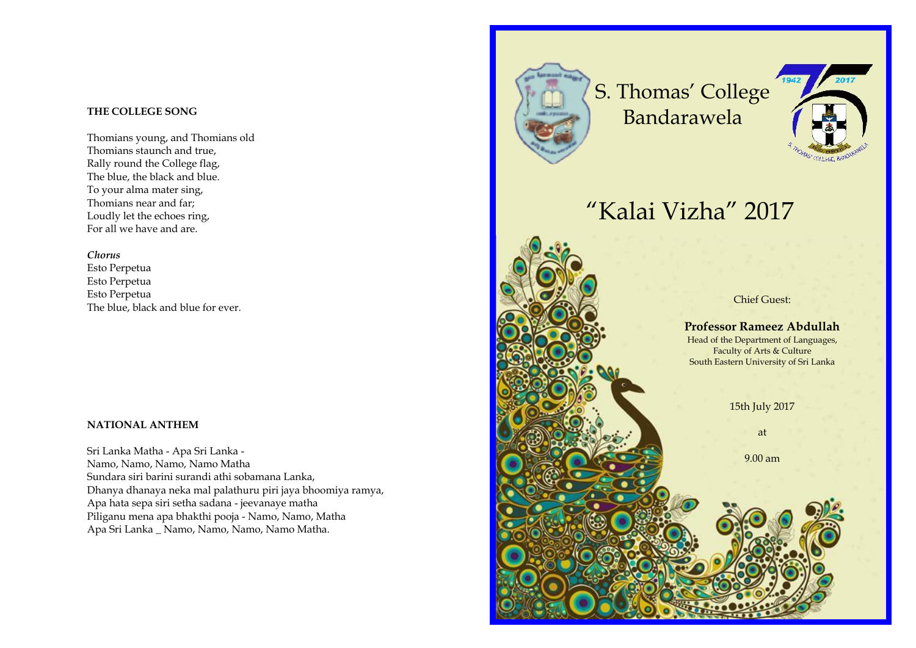Thomians young, and Thomians old Thomians staunch and true, Rally round the College flag, The blue, the black and blue. To your alma mater sing, For all we have and are.

Sundara siri barini surandi athi sobamana Lanka, Dhanya dhanaya neka mal palathuru piri jaya bhoomiya ramya, Apa hata sepa siri setha sadana - jeevanaye matha Piliganu mena apa bhakthi pooja - Namo, Namo, Matha Apa Sri Lanka \_ Namo, Namo, Namo, Namo Matha.



S. Thomas' College Bandarawela (Kali) | **THE COLLEGE SONG** 



## "Kalai Vizha" 2017 Thomians near and far; the contract of the contract of the contract of the contract of the contract of the contract of the contract of the contract of the contract of the contract of the contract of the contract of the co Loudly let the echoes ring, the contract of the choice of the contract of the choice of the choice of the choice of the choice of the choice of the choice of the choice of the choice of the choice of the choice of the choi